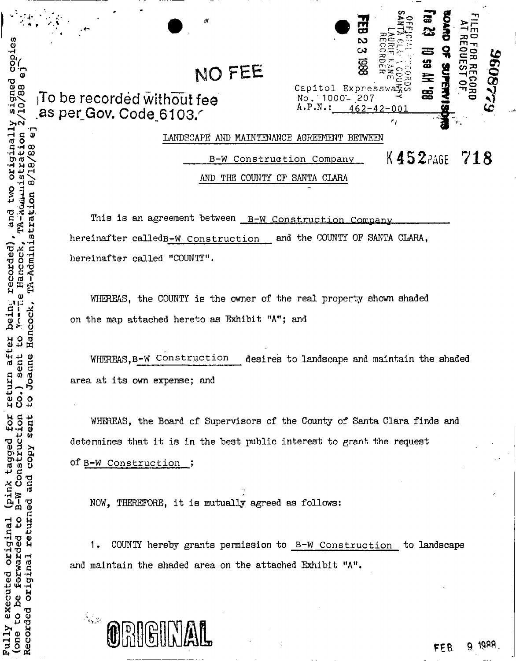### NO FEE

To be recorded without fee as per Gov. Code 6103.

CODies

lgned

ក<br>ហ

Originally

ecorded)

after

origina.

executed

 $\circ$ 

one Full

ă

Recorded

-Admin

anne

sent

| $\mathcal{M}$<br>NO FEE  | 띦<br>$\boldsymbol{\omega}$<br>m<br>$\infty$<br>886<br>Capitol Expressway | œ<br>ස<br>က္က<br>莹 | m<br>ᅎ<br>ທ     | Ž |
|--------------------------|--------------------------------------------------------------------------|--------------------|-----------------|---|
| hout fee<br>3103.4       | No. 1000-207<br>$A.P.N.$ :<br>$462 - 42 - 001$                           | 8<br>٢,            | $\mathcal{P}$ . |   |
| LANDSCAPE<br>MAINTENANCE | BETYRJEEN                                                                |                    |                 |   |

K452PAGE 718 B-W Construction Company AND THE COUNTY OF SANTA CLARA

This is an agreement between B-W Construction Company hereinafter called B-W Construction and the COUNTY OF SANTA CLARA, hereinafter called "COUNTY".

WHEREAS, the COUNTY is the owner of the real property shown shaded on the map attached hereto as Exhibit "A"; and

WHEREAS.B-W Construction desires to landscape and maintain the shaded area at its own expense; and

WHEREAS, the Board of Supervisors of the County of Santa Clara finds and determines that it is in the best public interest to grant the request of B-W Construction ;

NOW. THEREFORE, it is mutually agreed as follows:

COUNTY hereby grants permission to B-W Construction to landscape 1. and maintain the shaded area on the attached Exhibit "A".



1988 FFB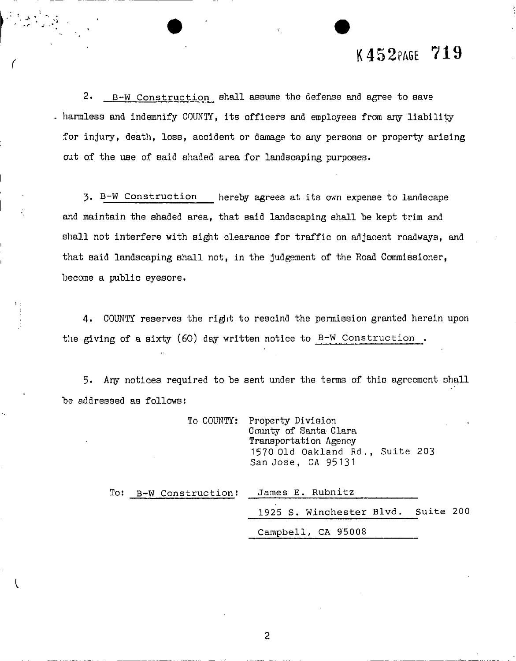### K452PAGE 719

 $2.$   $B-W$  Construction shall assume the defense and agree to save harmless and indemnify COUNTY, its officers and employees from any liability for injury, death, loss, accident or damage to any persons or property arising out of the use of said shaded area for landscaping purposes.

3- B-W Construction hereby agrees at its own expense to landscape and maintain the shaded area, that said landscaping shall be kept trim and shall not interfere with sight clearance for traffic on adjacent roadways, and that said landscaping shall not, in the judgement of the Road Commissioner, become a public eyesore.

4. COUNTY reserves the right to rescind the permission granted herein upon the giving of a sixty (60) day written notice to B-W Construction .

5. Aqy notices required to be sent under the terms of this agreement shall be addressed as follows:

|                       | To COUNTY: Property Division<br>County of Santa Clara<br>Transportation Agency<br>1570 Old Oakland Rd., Suite 203<br>San Jose, CA 95131 |
|-----------------------|-----------------------------------------------------------------------------------------------------------------------------------------|
| To: B-W Construction: | James E. Rubnitz                                                                                                                        |
|                       | 1925 S. Winchester Blvd. Suite 200                                                                                                      |

Campbell, CA 95008

2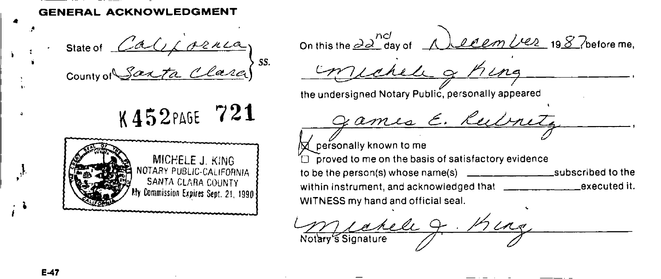**GENERAL ACKNOWLEDGMENT** 

State of  $\angle$ a $\cup$  $\angle$  ozn $\angle$ a) County of  $\bigcup$  a. (take

K452PAGE 721



On this the  $\frac{\partial a^{ncl}}{\partial ay}$  of <u>A levem liez</u> 1987 before me, the undersigned Notary Public, personally appeared *9 -* **R** personally known to me  $\Box$  proved to me on the basis of satisfactory evidence to be the person(s) whose name(s)  $\frac{1}{\frac{1}{1-\frac{1}{1-\frac{1}{1-\frac{1}{1-\frac{1}{1-\frac{1}{1-\frac{1}{1-\frac{1}{1-\frac{1}{1-\frac{1}{1-\frac{1}{1-\frac{1}{1-\frac{1}{1-\frac{1}{1-\frac{1}{1-\frac{1}{1-\frac{1}{1-\frac{1}{1-\frac{1}{1-\frac{1}{1-\frac{1}{1-\frac{1}{1-\frac{1}{1-\frac{1}{1-\frac{1}{1-\frac{1}{1-\frac{1}{1-\frac{1}{1-\frac{1}{1-\frac{1}{1-\$ within instrument, and acknowledged that \_\_execute d it. WITNESS my hand and official seal.

Marie 9. King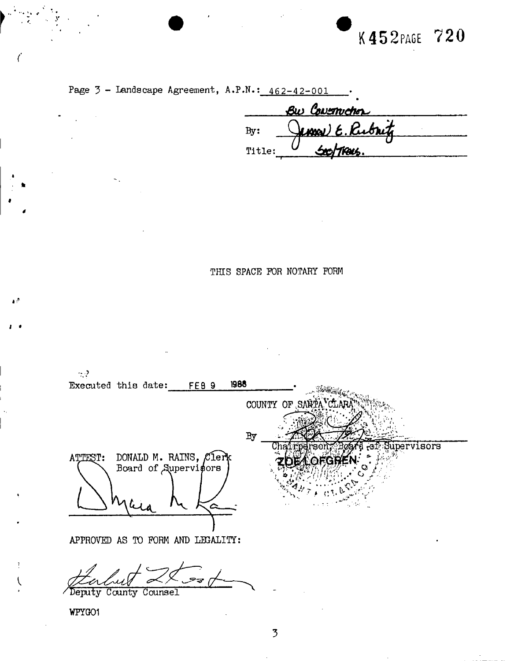## K452PAGE 720



|        | Bw Covenichos    |  |
|--------|------------------|--|
| Bv:    | James E. Rubritz |  |
| Title: | Soottracs.       |  |

THIS SPACE FOR NOTARY FORM

 $\sim$  2 1988 Executed this date: FEB 9 COUNTY OF SAN  $By$ pervisors DONALD M. RAINS, Clerk<br>Board of Supervisors ATTEST: APPROVED AS TO FORM AND LEGALITY: Deputy County Counsel

WPYGO1

ا، م

t  $\overline{\mathcal{L}}$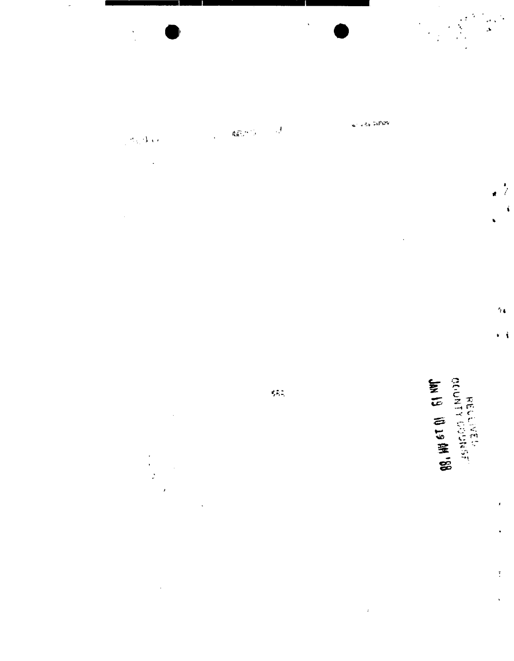$\ddot{\phantom{0}}$ 

 $\frac{1}{2}$ 

 $\overline{\phantom{a}}$ 

 $\mathbf{Q}^{(n)}_{\mathbf{R},\mathbf{C}}$  ,  $\mathbf{Q}^{(n)}$  $\bar{A}$  $\mathcal{L}_{\text{max}}$  $\sigma_{\rm h}/\Lambda_{\rm AA}$ 

 $\ddot{\phantom{0}}$ 

 $\overline{\phantom{a}}$ 

 $\begin{array}{c} 1 \\ 0 \\ 0 \\ 0 \end{array}$  $\overline{\phantom{a}}$ 

 $\ddot{\phantom{0}}$ 

will also behave

 $\hat{\mathbf{v}}$ 

 $\ddot{\phantom{a}}$ 

 $\hat{\vec{r}}$ 

 $\hat{\sigma}$ 

**99.**  $\frac{1}{2}$  so the conditional state of  $\frac{1}{2}$ 

 $\frac{1}{l}$ 

í

 $\gamma_{\rm A}$ 

r i

ł

 $\overline{z}$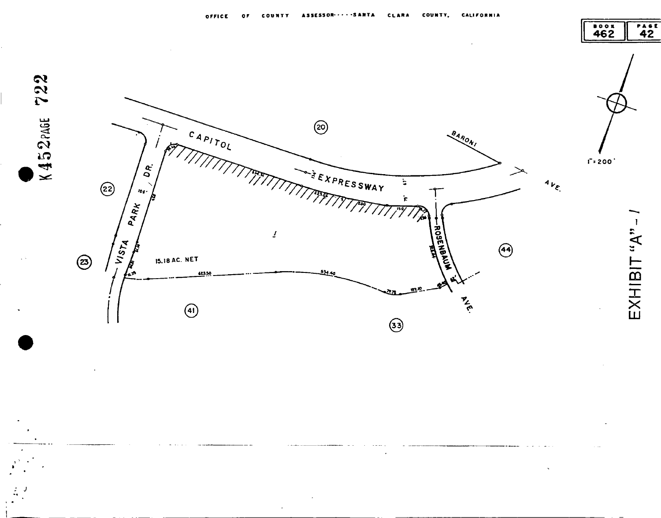







 $EXHIBIT "A" -$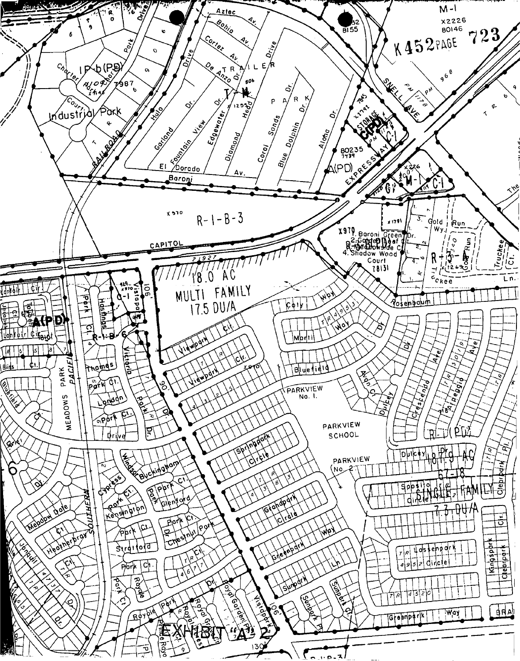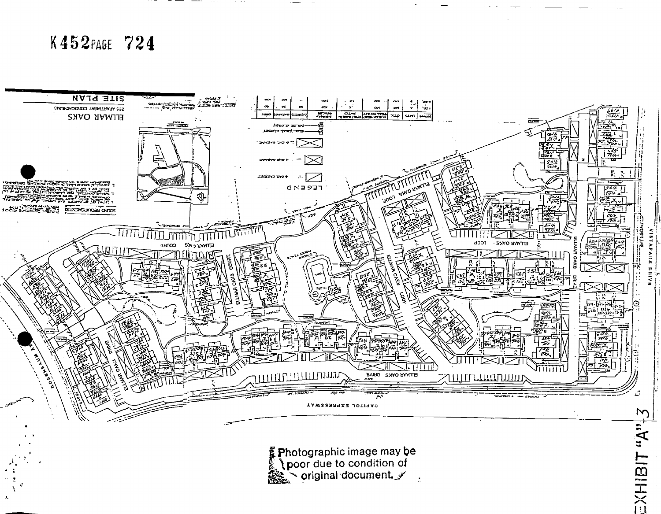### K452PAGE 724



photographic image may be<br>
\poor due to condition of<br>
\poor due to condition of  $\ddot{\phantom{a}}$ 

 $\mathbf{A}$ <sub>is</sub> ISHISIT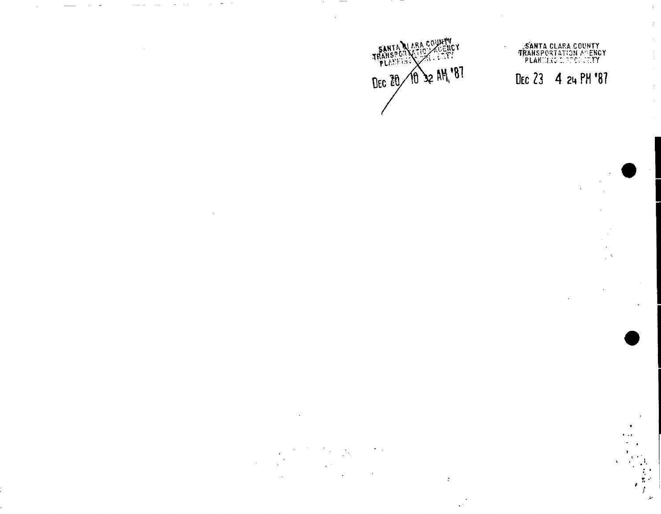

 $\ddot{\cdot}$ 

# SANTA CLARA COUNTY<br>TRANSPORTATION AGENCY<br>PLANIXING LIFENS CETY DEC 23 4 24 PM '87

 $\pm$ 

Ť.

 $\bar{z}$ 

÷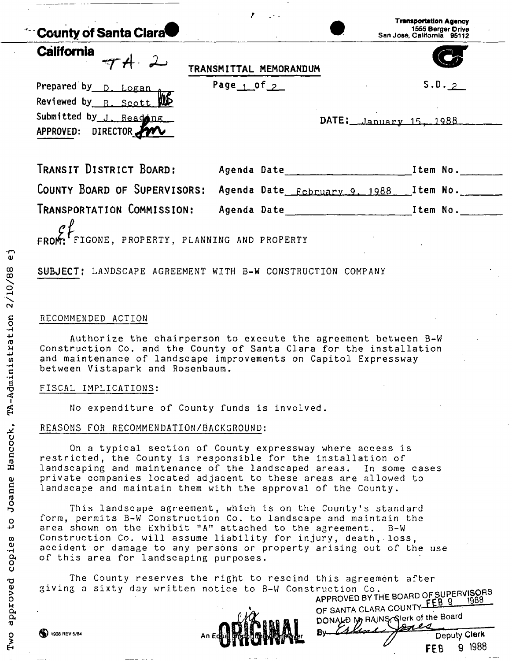| County of Santa Clara                                                                            |                 |                                                                                                                | <b>Transportation Agency</b><br>1555 Berger Drive<br>San Jose, California 95112 |
|--------------------------------------------------------------------------------------------------|-----------------|----------------------------------------------------------------------------------------------------------------|---------------------------------------------------------------------------------|
| <b>California</b>                                                                                |                 | TRANSMITTAL MEMORANDUM                                                                                         |                                                                                 |
| Prepared by D. Logan<br>Reviewed by R. Scott W.<br>Submitted by J. Reading<br>APPROVED: DIRECTOR | Page $1$ of $2$ |                                                                                                                | S.D.2<br>$DATE: _\nJanuary 15, 1988$                                            |
| TRANSIT DISTRICT BOARD:                                                                          |                 | Agenda Date and the state of the state of the state of the state of the state of the state of the state of the | Item No.                                                                        |
| COUNTY BOARD OF SUPERVISORS:                                                                     |                 |                                                                                                                | Agenda Date February 9, 1988 Item No.                                           |
| TRANSPORTATION COMMISSION:<br>FIGONE, PROPERTY, PLANNING AND PROPERTY                            |                 |                                                                                                                | Agenda Date <b>contracts</b> Item No.                                           |

#### **SUBJECT:** LANDSCAPE AGREEMENT WITH B-W CONSTRUCTION COMPANY

#### RECOMMENDED ACTION

Authorize the chairperson to execute the agreement between B-W Construction Co. and the County of Santa Clara for the installation and maintenance of landscape improvements on Capitol Expressway between Vistapark and Rosenbaum.

#### FISCAL IMPLICATIONS:

No expenditure of County funds is involved.

#### REASONS FOR RECOMMENDATION/BACKGROUND:

On a typical section of County expressway where access is restricted, the County is responsible for the installation of landscaping and maintenance of the landscaped areas. In some cases private companies located adjacent to these areas are allowed to landscape and maintain them with the approval of the County.

This landscape agreement, which is on the County's standard form, permits B-W Construction Co. to landscape and maintain the area shown on the Exhibit "A" attached to the agreement. B-W Construction Co. will assume liability for injury, death, loss, accident or damage to any persons or property arising out of the use of this area for landscaping purposes.

The County reserves the right to rescind this agreement after giving a sixty day written notice to B-W Construction Co. B-W Construction Co. *Construction* 



**APPROVED BY THE BOARD OF SUPERVISORS**  OF SANTA CLARA COUNTY FEB 9 DONALD My RAINS, Glerk of the Board

**Deputy Clerk " FEB 9 1988** 

 $\vec{c}$ 

 $\binom{13}{2}$  1908 REV 5/84